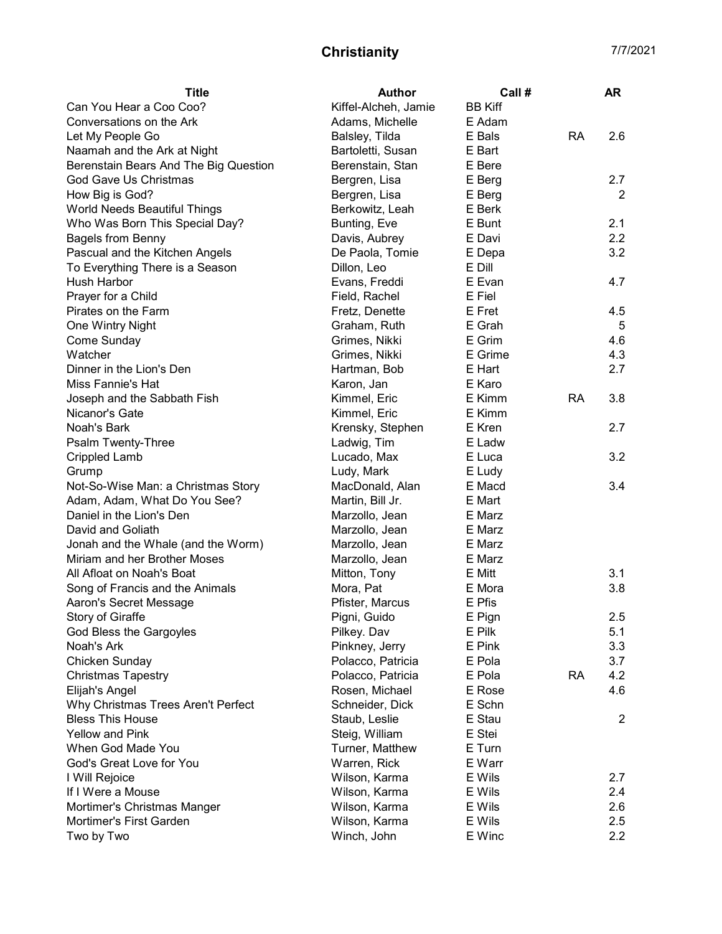| <b>Title</b>                          | <b>Author</b>        | Call#          |           | <b>AR</b>      |
|---------------------------------------|----------------------|----------------|-----------|----------------|
| Can You Hear a Coo Coo?               | Kiffel-Alcheh, Jamie | <b>BB Kiff</b> |           |                |
| Conversations on the Ark              | Adams, Michelle      | E Adam         |           |                |
| Let My People Go                      | Balsley, Tilda       | E Bals         | <b>RA</b> | 2.6            |
| Naamah and the Ark at Night           | Bartoletti, Susan    | E Bart         |           |                |
| Berenstain Bears And The Big Question | Berenstain, Stan     | E Bere         |           |                |
| God Gave Us Christmas                 | Bergren, Lisa        | E Berg         |           | 2.7            |
| How Big is God?                       | Bergren, Lisa        | E Berg         |           | $\overline{2}$ |
| World Needs Beautiful Things          | Berkowitz, Leah      | E Berk         |           |                |
| Who Was Born This Special Day?        | Bunting, Eve         | E Bunt         |           | 2.1            |
| <b>Bagels from Benny</b>              | Davis, Aubrey        | E Davi         |           | 2.2            |
| Pascual and the Kitchen Angels        | De Paola, Tomie      | E Depa         |           | 3.2            |
| To Everything There is a Season       | Dillon, Leo          | E Dill         |           |                |
| Hush Harbor                           | Evans, Freddi        | E Evan         |           | 4.7            |
| Prayer for a Child                    | Field, Rachel        | E Fiel         |           |                |
| Pirates on the Farm                   | Fretz, Denette       | E Fret         |           | 4.5            |
| One Wintry Night                      | Graham, Ruth         | E Grah         |           | 5              |
| Come Sunday                           | Grimes, Nikki        | E Grim         |           | 4.6            |
| Watcher                               | Grimes, Nikki        | E Grime        |           | 4.3            |
| Dinner in the Lion's Den              | Hartman, Bob         | E Hart         |           | 2.7            |
| Miss Fannie's Hat                     | Karon, Jan           | E Karo         |           |                |
| Joseph and the Sabbath Fish           | Kimmel, Eric         | E Kimm         | <b>RA</b> | 3.8            |
| Nicanor's Gate                        | Kimmel, Eric         | E Kimm         |           |                |
| Noah's Bark                           | Krensky, Stephen     | E Kren         |           | 2.7            |
| Psalm Twenty-Three                    | Ladwig, Tim          | E Ladw         |           |                |
| <b>Crippled Lamb</b>                  | Lucado, Max          | E Luca         |           | 3.2            |
| Grump                                 | Ludy, Mark           | E Ludy         |           |                |
| Not-So-Wise Man: a Christmas Story    | MacDonald, Alan      | E Macd         |           | 3.4            |
| Adam, Adam, What Do You See?          | Martin, Bill Jr.     | E Mart         |           |                |
| Daniel in the Lion's Den              | Marzollo, Jean       | E Marz         |           |                |
| David and Goliath                     | Marzollo, Jean       | E Marz         |           |                |
| Jonah and the Whale (and the Worm)    | Marzollo, Jean       | E Marz         |           |                |
| Miriam and her Brother Moses          | Marzollo, Jean       | E Marz         |           |                |
| All Afloat on Noah's Boat             | Mitton, Tony         | E Mitt         |           | 3.1            |
| Song of Francis and the Animals       | Mora, Pat            | E Mora         |           | 3.8            |
| Aaron's Secret Message                | Pfister, Marcus      | E Pfis         |           |                |
| Story of Giraffe                      | Pigni, Guido         | E Pign         |           | 2.5            |
| God Bless the Gargoyles               | Pilkey. Dav          | E Pilk         |           | 5.1            |
| Noah's Ark                            | Pinkney, Jerry       | E Pink         |           | 3.3            |
| Chicken Sunday                        | Polacco, Patricia    | E Pola         |           | 3.7            |
| <b>Christmas Tapestry</b>             | Polacco, Patricia    | E Pola         | <b>RA</b> | 4.2            |
| Elijah's Angel                        | Rosen, Michael       | E Rose         |           | 4.6            |
| Why Christmas Trees Aren't Perfect    | Schneider, Dick      | E Schn         |           |                |
| <b>Bless This House</b>               | Staub, Leslie        | E Stau         |           | $\overline{2}$ |
| <b>Yellow and Pink</b>                | Steig, William       | E Stei         |           |                |
| When God Made You                     | Turner, Matthew      | E Turn         |           |                |
| God's Great Love for You              | Warren, Rick         | E Warr         |           |                |
|                                       | Wilson, Karma        | E Wils         |           | 2.7            |
| I Will Rejoice<br>If I Were a Mouse   | Wilson, Karma        | E Wils         |           | 2.4            |
| Mortimer's Christmas Manger           | Wilson, Karma        | E Wils         |           | 2.6            |
| Mortimer's First Garden               |                      | E Wils         |           | 2.5            |
|                                       | Wilson, Karma        |                |           |                |
| Two by Two                            | Winch, John          | E Winc         |           | 2.2            |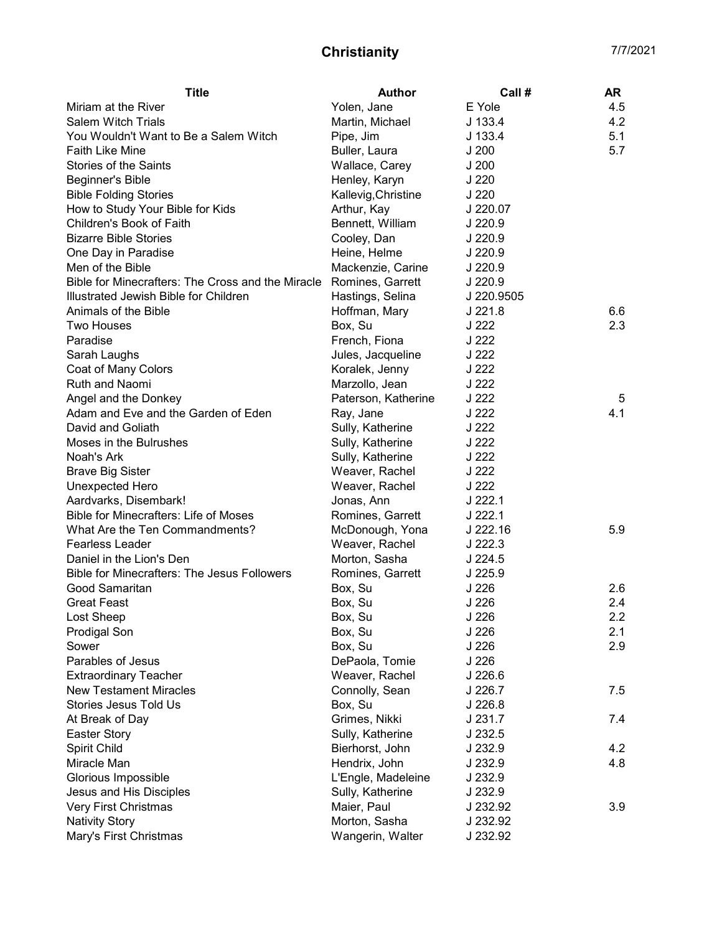| Yolen, Jane<br>E Yole<br>4.5<br><b>Salem Witch Trials</b><br>$J$ 133.4<br>4.2<br>Martin, Michael<br>5.1<br>You Wouldn't Want to Be a Salem Witch<br>Pipe, Jim<br>$J$ 133.4<br>5.7<br>J200<br>Buller, Laura<br>Stories of the Saints<br>Wallace, Carey<br>J200<br>Henley, Karyn<br>J <sub>220</sub><br><b>Bible Folding Stories</b><br>Kallevig, Christine<br>J <sub>220</sub><br>How to Study Your Bible for Kids<br>Arthur, Kay<br>J 220.07<br>Children's Book of Faith<br>Bennett, William<br>J 220.9<br><b>Bizarre Bible Stories</b><br>J 220.9<br>Cooley, Dan<br>J 220.9<br>One Day in Paradise<br>Heine, Helme<br>Men of the Bible<br>Mackenzie, Carine<br>J 220.9<br>Bible for Minecrafters: The Cross and the Miracle<br>Romines, Garrett<br>J 220.9<br>Illustrated Jewish Bible for Children<br>Hastings, Selina<br>J 220.9505<br>Hoffman, Mary<br>$J$ 221.8<br>6.6<br><b>Two Houses</b><br>J 222<br>2.3<br>Box, Su<br>J 222<br>French, Fiona<br>J 222<br>Jules, Jacqueline<br>Coat of Many Colors<br>Koralek, Jenny<br>J 222<br>Marzollo, Jean<br>J 222<br>Angel and the Donkey<br>Paterson, Katherine<br>J 222<br>5<br>4.1<br>J 222<br>Ray, Jane<br>J 222<br>Sully, Katherine<br>Moses in the Bulrushes<br>J 222<br>Sully, Katherine<br>J 222<br>Noah's Ark<br>Sully, Katherine<br>J 222<br><b>Brave Big Sister</b><br>Weaver, Rachel<br>J 222<br>Unexpected Hero<br>Weaver, Rachel<br>$J$ 222.1<br>Aardvarks, Disembark!<br>Jonas, Ann<br>$J$ 222.1<br>Romines, Garrett<br>What Are the Ten Commandments?<br>McDonough, Yona<br>J 222.16<br>5.9<br>Weaver, Rachel<br>$J$ 222.3<br>Morton, Sasha<br>$J$ 224.5<br><b>Bible for Minecrafters: The Jesus Followers</b><br>Romines, Garrett<br>J 225.9<br>J <sub>226</sub><br>2.6<br>Box, Su<br>J 226<br>2.4<br><b>Great Feast</b><br>Box, Su<br>J <sub>226</sub><br>2.2<br>Lost Sheep<br>Box, Su<br>Prodigal Son<br>J 226<br>2.1<br>Box, Su | <b>Title</b>                          | <b>Author</b> | Call# | AR  |
|----------------------------------------------------------------------------------------------------------------------------------------------------------------------------------------------------------------------------------------------------------------------------------------------------------------------------------------------------------------------------------------------------------------------------------------------------------------------------------------------------------------------------------------------------------------------------------------------------------------------------------------------------------------------------------------------------------------------------------------------------------------------------------------------------------------------------------------------------------------------------------------------------------------------------------------------------------------------------------------------------------------------------------------------------------------------------------------------------------------------------------------------------------------------------------------------------------------------------------------------------------------------------------------------------------------------------------------------------------------------------------------------------------------------------------------------------------------------------------------------------------------------------------------------------------------------------------------------------------------------------------------------------------------------------------------------------------------------------------------------------------------------------------------------------------------------------------------------------------------------------------------------------|---------------------------------------|---------------|-------|-----|
|                                                                                                                                                                                                                                                                                                                                                                                                                                                                                                                                                                                                                                                                                                                                                                                                                                                                                                                                                                                                                                                                                                                                                                                                                                                                                                                                                                                                                                                                                                                                                                                                                                                                                                                                                                                                                                                                                                    | Miriam at the River                   |               |       |     |
|                                                                                                                                                                                                                                                                                                                                                                                                                                                                                                                                                                                                                                                                                                                                                                                                                                                                                                                                                                                                                                                                                                                                                                                                                                                                                                                                                                                                                                                                                                                                                                                                                                                                                                                                                                                                                                                                                                    |                                       |               |       |     |
|                                                                                                                                                                                                                                                                                                                                                                                                                                                                                                                                                                                                                                                                                                                                                                                                                                                                                                                                                                                                                                                                                                                                                                                                                                                                                                                                                                                                                                                                                                                                                                                                                                                                                                                                                                                                                                                                                                    |                                       |               |       |     |
|                                                                                                                                                                                                                                                                                                                                                                                                                                                                                                                                                                                                                                                                                                                                                                                                                                                                                                                                                                                                                                                                                                                                                                                                                                                                                                                                                                                                                                                                                                                                                                                                                                                                                                                                                                                                                                                                                                    | <b>Faith Like Mine</b>                |               |       |     |
|                                                                                                                                                                                                                                                                                                                                                                                                                                                                                                                                                                                                                                                                                                                                                                                                                                                                                                                                                                                                                                                                                                                                                                                                                                                                                                                                                                                                                                                                                                                                                                                                                                                                                                                                                                                                                                                                                                    |                                       |               |       |     |
|                                                                                                                                                                                                                                                                                                                                                                                                                                                                                                                                                                                                                                                                                                                                                                                                                                                                                                                                                                                                                                                                                                                                                                                                                                                                                                                                                                                                                                                                                                                                                                                                                                                                                                                                                                                                                                                                                                    | <b>Beginner's Bible</b>               |               |       |     |
|                                                                                                                                                                                                                                                                                                                                                                                                                                                                                                                                                                                                                                                                                                                                                                                                                                                                                                                                                                                                                                                                                                                                                                                                                                                                                                                                                                                                                                                                                                                                                                                                                                                                                                                                                                                                                                                                                                    |                                       |               |       |     |
|                                                                                                                                                                                                                                                                                                                                                                                                                                                                                                                                                                                                                                                                                                                                                                                                                                                                                                                                                                                                                                                                                                                                                                                                                                                                                                                                                                                                                                                                                                                                                                                                                                                                                                                                                                                                                                                                                                    |                                       |               |       |     |
|                                                                                                                                                                                                                                                                                                                                                                                                                                                                                                                                                                                                                                                                                                                                                                                                                                                                                                                                                                                                                                                                                                                                                                                                                                                                                                                                                                                                                                                                                                                                                                                                                                                                                                                                                                                                                                                                                                    |                                       |               |       |     |
|                                                                                                                                                                                                                                                                                                                                                                                                                                                                                                                                                                                                                                                                                                                                                                                                                                                                                                                                                                                                                                                                                                                                                                                                                                                                                                                                                                                                                                                                                                                                                                                                                                                                                                                                                                                                                                                                                                    |                                       |               |       |     |
|                                                                                                                                                                                                                                                                                                                                                                                                                                                                                                                                                                                                                                                                                                                                                                                                                                                                                                                                                                                                                                                                                                                                                                                                                                                                                                                                                                                                                                                                                                                                                                                                                                                                                                                                                                                                                                                                                                    |                                       |               |       |     |
|                                                                                                                                                                                                                                                                                                                                                                                                                                                                                                                                                                                                                                                                                                                                                                                                                                                                                                                                                                                                                                                                                                                                                                                                                                                                                                                                                                                                                                                                                                                                                                                                                                                                                                                                                                                                                                                                                                    |                                       |               |       |     |
|                                                                                                                                                                                                                                                                                                                                                                                                                                                                                                                                                                                                                                                                                                                                                                                                                                                                                                                                                                                                                                                                                                                                                                                                                                                                                                                                                                                                                                                                                                                                                                                                                                                                                                                                                                                                                                                                                                    |                                       |               |       |     |
|                                                                                                                                                                                                                                                                                                                                                                                                                                                                                                                                                                                                                                                                                                                                                                                                                                                                                                                                                                                                                                                                                                                                                                                                                                                                                                                                                                                                                                                                                                                                                                                                                                                                                                                                                                                                                                                                                                    |                                       |               |       |     |
|                                                                                                                                                                                                                                                                                                                                                                                                                                                                                                                                                                                                                                                                                                                                                                                                                                                                                                                                                                                                                                                                                                                                                                                                                                                                                                                                                                                                                                                                                                                                                                                                                                                                                                                                                                                                                                                                                                    | Animals of the Bible                  |               |       |     |
|                                                                                                                                                                                                                                                                                                                                                                                                                                                                                                                                                                                                                                                                                                                                                                                                                                                                                                                                                                                                                                                                                                                                                                                                                                                                                                                                                                                                                                                                                                                                                                                                                                                                                                                                                                                                                                                                                                    |                                       |               |       |     |
|                                                                                                                                                                                                                                                                                                                                                                                                                                                                                                                                                                                                                                                                                                                                                                                                                                                                                                                                                                                                                                                                                                                                                                                                                                                                                                                                                                                                                                                                                                                                                                                                                                                                                                                                                                                                                                                                                                    | Paradise                              |               |       |     |
|                                                                                                                                                                                                                                                                                                                                                                                                                                                                                                                                                                                                                                                                                                                                                                                                                                                                                                                                                                                                                                                                                                                                                                                                                                                                                                                                                                                                                                                                                                                                                                                                                                                                                                                                                                                                                                                                                                    | Sarah Laughs                          |               |       |     |
|                                                                                                                                                                                                                                                                                                                                                                                                                                                                                                                                                                                                                                                                                                                                                                                                                                                                                                                                                                                                                                                                                                                                                                                                                                                                                                                                                                                                                                                                                                                                                                                                                                                                                                                                                                                                                                                                                                    |                                       |               |       |     |
|                                                                                                                                                                                                                                                                                                                                                                                                                                                                                                                                                                                                                                                                                                                                                                                                                                                                                                                                                                                                                                                                                                                                                                                                                                                                                                                                                                                                                                                                                                                                                                                                                                                                                                                                                                                                                                                                                                    | <b>Ruth and Naomi</b>                 |               |       |     |
|                                                                                                                                                                                                                                                                                                                                                                                                                                                                                                                                                                                                                                                                                                                                                                                                                                                                                                                                                                                                                                                                                                                                                                                                                                                                                                                                                                                                                                                                                                                                                                                                                                                                                                                                                                                                                                                                                                    |                                       |               |       |     |
|                                                                                                                                                                                                                                                                                                                                                                                                                                                                                                                                                                                                                                                                                                                                                                                                                                                                                                                                                                                                                                                                                                                                                                                                                                                                                                                                                                                                                                                                                                                                                                                                                                                                                                                                                                                                                                                                                                    | Adam and Eve and the Garden of Eden   |               |       |     |
|                                                                                                                                                                                                                                                                                                                                                                                                                                                                                                                                                                                                                                                                                                                                                                                                                                                                                                                                                                                                                                                                                                                                                                                                                                                                                                                                                                                                                                                                                                                                                                                                                                                                                                                                                                                                                                                                                                    | David and Goliath                     |               |       |     |
|                                                                                                                                                                                                                                                                                                                                                                                                                                                                                                                                                                                                                                                                                                                                                                                                                                                                                                                                                                                                                                                                                                                                                                                                                                                                                                                                                                                                                                                                                                                                                                                                                                                                                                                                                                                                                                                                                                    |                                       |               |       |     |
|                                                                                                                                                                                                                                                                                                                                                                                                                                                                                                                                                                                                                                                                                                                                                                                                                                                                                                                                                                                                                                                                                                                                                                                                                                                                                                                                                                                                                                                                                                                                                                                                                                                                                                                                                                                                                                                                                                    |                                       |               |       |     |
|                                                                                                                                                                                                                                                                                                                                                                                                                                                                                                                                                                                                                                                                                                                                                                                                                                                                                                                                                                                                                                                                                                                                                                                                                                                                                                                                                                                                                                                                                                                                                                                                                                                                                                                                                                                                                                                                                                    |                                       |               |       |     |
|                                                                                                                                                                                                                                                                                                                                                                                                                                                                                                                                                                                                                                                                                                                                                                                                                                                                                                                                                                                                                                                                                                                                                                                                                                                                                                                                                                                                                                                                                                                                                                                                                                                                                                                                                                                                                                                                                                    |                                       |               |       |     |
|                                                                                                                                                                                                                                                                                                                                                                                                                                                                                                                                                                                                                                                                                                                                                                                                                                                                                                                                                                                                                                                                                                                                                                                                                                                                                                                                                                                                                                                                                                                                                                                                                                                                                                                                                                                                                                                                                                    |                                       |               |       |     |
|                                                                                                                                                                                                                                                                                                                                                                                                                                                                                                                                                                                                                                                                                                                                                                                                                                                                                                                                                                                                                                                                                                                                                                                                                                                                                                                                                                                                                                                                                                                                                                                                                                                                                                                                                                                                                                                                                                    | Bible for Minecrafters: Life of Moses |               |       |     |
|                                                                                                                                                                                                                                                                                                                                                                                                                                                                                                                                                                                                                                                                                                                                                                                                                                                                                                                                                                                                                                                                                                                                                                                                                                                                                                                                                                                                                                                                                                                                                                                                                                                                                                                                                                                                                                                                                                    |                                       |               |       |     |
|                                                                                                                                                                                                                                                                                                                                                                                                                                                                                                                                                                                                                                                                                                                                                                                                                                                                                                                                                                                                                                                                                                                                                                                                                                                                                                                                                                                                                                                                                                                                                                                                                                                                                                                                                                                                                                                                                                    | <b>Fearless Leader</b>                |               |       |     |
|                                                                                                                                                                                                                                                                                                                                                                                                                                                                                                                                                                                                                                                                                                                                                                                                                                                                                                                                                                                                                                                                                                                                                                                                                                                                                                                                                                                                                                                                                                                                                                                                                                                                                                                                                                                                                                                                                                    | Daniel in the Lion's Den              |               |       |     |
|                                                                                                                                                                                                                                                                                                                                                                                                                                                                                                                                                                                                                                                                                                                                                                                                                                                                                                                                                                                                                                                                                                                                                                                                                                                                                                                                                                                                                                                                                                                                                                                                                                                                                                                                                                                                                                                                                                    |                                       |               |       |     |
|                                                                                                                                                                                                                                                                                                                                                                                                                                                                                                                                                                                                                                                                                                                                                                                                                                                                                                                                                                                                                                                                                                                                                                                                                                                                                                                                                                                                                                                                                                                                                                                                                                                                                                                                                                                                                                                                                                    | Good Samaritan                        |               |       |     |
|                                                                                                                                                                                                                                                                                                                                                                                                                                                                                                                                                                                                                                                                                                                                                                                                                                                                                                                                                                                                                                                                                                                                                                                                                                                                                                                                                                                                                                                                                                                                                                                                                                                                                                                                                                                                                                                                                                    |                                       |               |       |     |
|                                                                                                                                                                                                                                                                                                                                                                                                                                                                                                                                                                                                                                                                                                                                                                                                                                                                                                                                                                                                                                                                                                                                                                                                                                                                                                                                                                                                                                                                                                                                                                                                                                                                                                                                                                                                                                                                                                    |                                       |               |       |     |
|                                                                                                                                                                                                                                                                                                                                                                                                                                                                                                                                                                                                                                                                                                                                                                                                                                                                                                                                                                                                                                                                                                                                                                                                                                                                                                                                                                                                                                                                                                                                                                                                                                                                                                                                                                                                                                                                                                    |                                       |               |       |     |
|                                                                                                                                                                                                                                                                                                                                                                                                                                                                                                                                                                                                                                                                                                                                                                                                                                                                                                                                                                                                                                                                                                                                                                                                                                                                                                                                                                                                                                                                                                                                                                                                                                                                                                                                                                                                                                                                                                    | Sower                                 | Box, Su       | J 226 | 2.9 |
| J 226<br>DePaola, Tomie                                                                                                                                                                                                                                                                                                                                                                                                                                                                                                                                                                                                                                                                                                                                                                                                                                                                                                                                                                                                                                                                                                                                                                                                                                                                                                                                                                                                                                                                                                                                                                                                                                                                                                                                                                                                                                                                            | Parables of Jesus                     |               |       |     |
| <b>Extraordinary Teacher</b><br>Weaver, Rachel<br>$J$ 226.6                                                                                                                                                                                                                                                                                                                                                                                                                                                                                                                                                                                                                                                                                                                                                                                                                                                                                                                                                                                                                                                                                                                                                                                                                                                                                                                                                                                                                                                                                                                                                                                                                                                                                                                                                                                                                                        |                                       |               |       |     |
| <b>New Testament Miracles</b><br>J 226.7<br>7.5<br>Connolly, Sean                                                                                                                                                                                                                                                                                                                                                                                                                                                                                                                                                                                                                                                                                                                                                                                                                                                                                                                                                                                                                                                                                                                                                                                                                                                                                                                                                                                                                                                                                                                                                                                                                                                                                                                                                                                                                                  |                                       |               |       |     |
| Stories Jesus Told Us<br>J 226.8<br>Box, Su                                                                                                                                                                                                                                                                                                                                                                                                                                                                                                                                                                                                                                                                                                                                                                                                                                                                                                                                                                                                                                                                                                                                                                                                                                                                                                                                                                                                                                                                                                                                                                                                                                                                                                                                                                                                                                                        |                                       |               |       |     |
| J 231.7<br>Grimes, Nikki<br>7.4                                                                                                                                                                                                                                                                                                                                                                                                                                                                                                                                                                                                                                                                                                                                                                                                                                                                                                                                                                                                                                                                                                                                                                                                                                                                                                                                                                                                                                                                                                                                                                                                                                                                                                                                                                                                                                                                    | At Break of Day                       |               |       |     |
| J 232.5<br><b>Easter Story</b><br>Sully, Katherine                                                                                                                                                                                                                                                                                                                                                                                                                                                                                                                                                                                                                                                                                                                                                                                                                                                                                                                                                                                                                                                                                                                                                                                                                                                                                                                                                                                                                                                                                                                                                                                                                                                                                                                                                                                                                                                 |                                       |               |       |     |
| Spirit Child<br>Bierhorst, John<br>J 232.9<br>4.2                                                                                                                                                                                                                                                                                                                                                                                                                                                                                                                                                                                                                                                                                                                                                                                                                                                                                                                                                                                                                                                                                                                                                                                                                                                                                                                                                                                                                                                                                                                                                                                                                                                                                                                                                                                                                                                  |                                       |               |       |     |
| Miracle Man<br>Hendrix, John<br>J 232.9<br>4.8                                                                                                                                                                                                                                                                                                                                                                                                                                                                                                                                                                                                                                                                                                                                                                                                                                                                                                                                                                                                                                                                                                                                                                                                                                                                                                                                                                                                                                                                                                                                                                                                                                                                                                                                                                                                                                                     |                                       |               |       |     |
| Glorious Impossible<br>L'Engle, Madeleine<br>J 232.9                                                                                                                                                                                                                                                                                                                                                                                                                                                                                                                                                                                                                                                                                                                                                                                                                                                                                                                                                                                                                                                                                                                                                                                                                                                                                                                                                                                                                                                                                                                                                                                                                                                                                                                                                                                                                                               |                                       |               |       |     |
| Sully, Katherine<br>J 232.9<br>Jesus and His Disciples                                                                                                                                                                                                                                                                                                                                                                                                                                                                                                                                                                                                                                                                                                                                                                                                                                                                                                                                                                                                                                                                                                                                                                                                                                                                                                                                                                                                                                                                                                                                                                                                                                                                                                                                                                                                                                             |                                       |               |       |     |
| Maier, Paul<br>J 232.92<br>3.9                                                                                                                                                                                                                                                                                                                                                                                                                                                                                                                                                                                                                                                                                                                                                                                                                                                                                                                                                                                                                                                                                                                                                                                                                                                                                                                                                                                                                                                                                                                                                                                                                                                                                                                                                                                                                                                                     | Very First Christmas                  |               |       |     |
| <b>Nativity Story</b><br>Morton, Sasha<br>J 232.92                                                                                                                                                                                                                                                                                                                                                                                                                                                                                                                                                                                                                                                                                                                                                                                                                                                                                                                                                                                                                                                                                                                                                                                                                                                                                                                                                                                                                                                                                                                                                                                                                                                                                                                                                                                                                                                 |                                       |               |       |     |
| Mary's First Christmas<br>Wangerin, Walter<br>J 232.92                                                                                                                                                                                                                                                                                                                                                                                                                                                                                                                                                                                                                                                                                                                                                                                                                                                                                                                                                                                                                                                                                                                                                                                                                                                                                                                                                                                                                                                                                                                                                                                                                                                                                                                                                                                                                                             |                                       |               |       |     |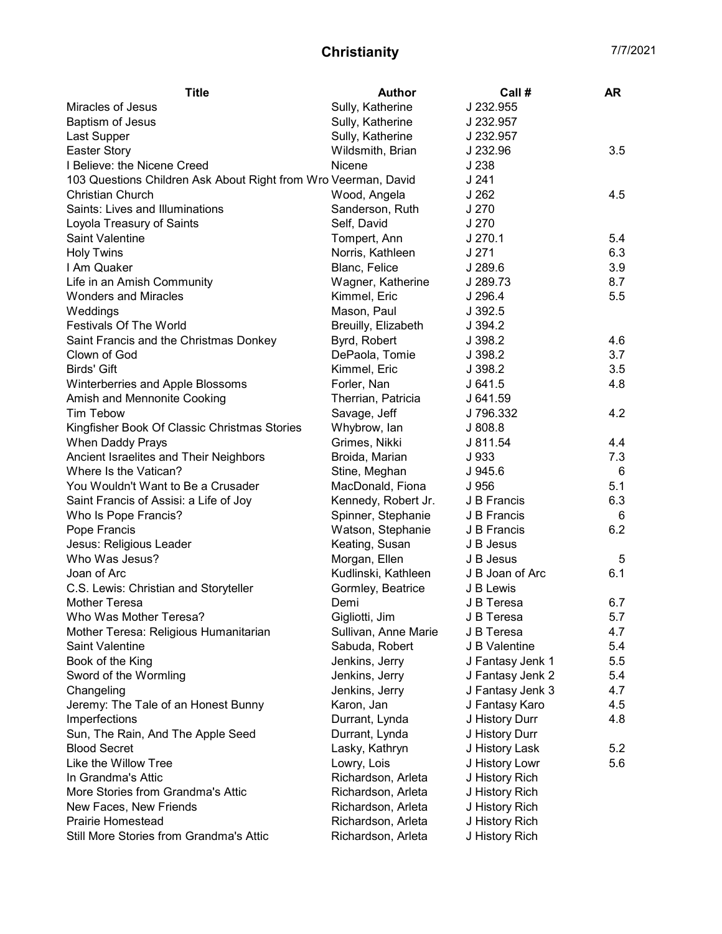| <b>Title</b>                                                   | <b>Author</b>                             | Call#            | <b>AR</b> |
|----------------------------------------------------------------|-------------------------------------------|------------------|-----------|
| Miracles of Jesus                                              | Sully, Katherine                          | J 232.955        |           |
| Baptism of Jesus                                               | Sully, Katherine                          | J 232.957        |           |
| Last Supper                                                    | Sully, Katherine                          | J 232.957        |           |
| <b>Easter Story</b>                                            | Wildsmith, Brian                          | J 232.96         | 3.5       |
| I Believe: the Nicene Creed                                    | Nicene                                    | J 238            |           |
| 103 Questions Children Ask About Right from Wro Veerman, David |                                           | J 241            |           |
| <b>Christian Church</b>                                        | Wood, Angela                              | J 262            | 4.5       |
| Saints: Lives and Illuminations                                | Sanderson, Ruth                           | J 270            |           |
| Loyola Treasury of Saints                                      | Self, David                               | J 270            |           |
| Saint Valentine                                                | Tompert, Ann                              | J 270.1          | 5.4       |
| <b>Holy Twins</b>                                              | Norris, Kathleen                          | J 271            | 6.3       |
| I Am Quaker                                                    | Blanc, Felice                             | J 289.6          | 3.9       |
| Life in an Amish Community                                     | Wagner, Katherine                         | J 289.73         | 8.7       |
| <b>Wonders and Miracles</b>                                    | Kimmel, Eric                              | J 296.4          | 5.5       |
| Weddings                                                       | Mason, Paul                               | J 392.5          |           |
| <b>Festivals Of The World</b>                                  | Breuilly, Elizabeth                       | J.394.2          |           |
| Saint Francis and the Christmas Donkey                         | Byrd, Robert                              | J 398.2          | 4.6       |
| Clown of God                                                   | DePaola, Tomie                            | J 398.2          | 3.7       |
| <b>Birds' Gift</b>                                             | Kimmel, Eric                              | J 398.2          | 3.5       |
| Winterberries and Apple Blossoms                               | Forler, Nan                               | J641.5           | 4.8       |
| Amish and Mennonite Cooking                                    | Therrian, Patricia                        | J 641.59         |           |
| <b>Tim Tebow</b>                                               | Savage, Jeff                              | J 796.332        | 4.2       |
| Kingfisher Book Of Classic Christmas Stories                   | Whybrow, lan                              | J808.8           |           |
| When Daddy Prays                                               | Grimes, Nikki                             | J 811.54         | 4.4       |
| Ancient Israelites and Their Neighbors                         | Broida, Marian                            | J 933            | 7.3       |
| Where Is the Vatican?                                          | Stine, Meghan                             | J 945.6          | 6         |
| You Wouldn't Want to Be a Crusader                             | MacDonald, Fiona                          | J 956            | 5.1       |
|                                                                |                                           | J B Francis      | 6.3       |
| Saint Francis of Assisi: a Life of Joy                         | Kennedy, Robert Jr.<br>Spinner, Stephanie | J B Francis      | 6         |
| Who Is Pope Francis?                                           |                                           |                  | 6.2       |
| Pope Francis<br>Jesus: Religious Leader                        | Watson, Stephanie<br>Keating, Susan       | J B Francis      |           |
| Who Was Jesus?                                                 |                                           | J B Jesus        |           |
|                                                                | Morgan, Ellen                             | J B Jesus        | 5         |
| Joan of Arc                                                    | Kudlinski, Kathleen                       | J B Joan of Arc  | 6.1       |
| C.S. Lewis: Christian and Storyteller                          | Gormley, Beatrice                         | J B Lewis        |           |
| Mother Teresa                                                  | Demi                                      | J B Teresa       | 6.7       |
| Who Was Mother Teresa?                                         | Gigliotti, Jim                            | J B Teresa       | 5.7       |
| Mother Teresa: Religious Humanitarian                          | Sullivan, Anne Marie                      | J B Teresa       | 4.7       |
| <b>Saint Valentine</b>                                         | Sabuda, Robert                            | J B Valentine    | 5.4       |
| Book of the King                                               | Jenkins, Jerry                            | J Fantasy Jenk 1 | 5.5       |
| Sword of the Wormling                                          | Jenkins, Jerry                            | J Fantasy Jenk 2 | 5.4       |
| Changeling                                                     | Jenkins, Jerry                            | J Fantasy Jenk 3 | 4.7       |
| Jeremy: The Tale of an Honest Bunny                            | Karon, Jan                                | J Fantasy Karo   | 4.5       |
| Imperfections                                                  | Durrant, Lynda                            | J History Durr   | 4.8       |
| Sun, The Rain, And The Apple Seed                              | Durrant, Lynda                            | J History Durr   |           |
| <b>Blood Secret</b>                                            | Lasky, Kathryn                            | J History Lask   | 5.2       |
| Like the Willow Tree                                           | Lowry, Lois                               | J History Lowr   | 5.6       |
| In Grandma's Attic                                             | Richardson, Arleta                        | J History Rich   |           |
| More Stories from Grandma's Attic                              | Richardson, Arleta                        | J History Rich   |           |
| New Faces, New Friends                                         | Richardson, Arleta                        | J History Rich   |           |
| <b>Prairie Homestead</b>                                       | Richardson, Arleta                        | J History Rich   |           |
| Still More Stories from Grandma's Attic                        | Richardson, Arleta                        | J History Rich   |           |